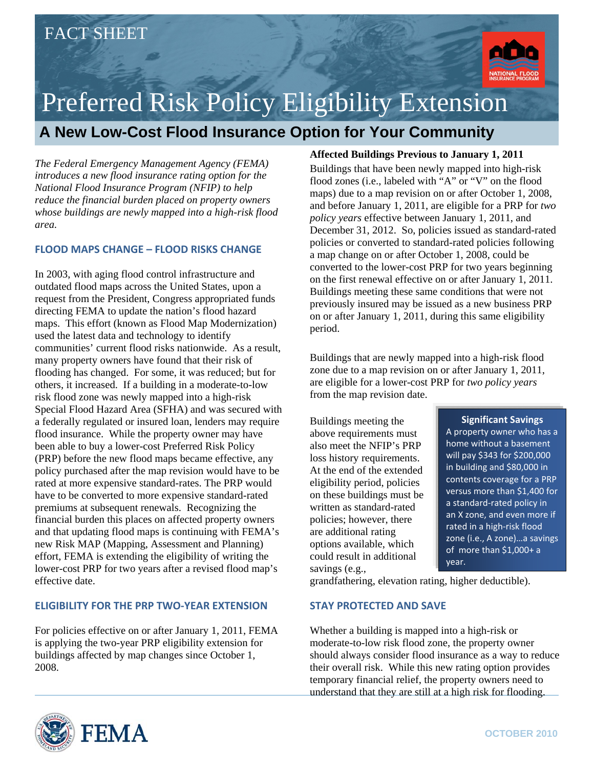

## Preferred Risk Policy Eligibility Extension

## **A New Low-Cost Flood Insurance Option for Your Community**

*The Federal Emergency Management Agency (FEMA) introduces a new flood insurance rating option for the National Flood Insurance Program (NFIP) to help reduce the financial burden placed on property owners whose buildings are newly mapped into a high-risk flood area.* 

#### **FLOOD MAPS CHANGE – FLOOD RISKS CHANGE**

In 2003, with aging flood control infrastructure and outdated flood maps across the United States, upon a request from the President, Congress appropriated funds directing FEMA to update the nation's flood hazard maps. This effort (known as Flood Map Modernization) used the latest data and technology to identify communities' current flood risks nationwide. As a result, many property owners have found that their risk of flooding has changed. For some, it was reduced; but for others, it increased. If a building in a moderate-to-low risk flood zone was newly mapped into a high-risk Special Flood Hazard Area (SFHA) and was secured with a federally regulated or insured loan, lenders may require flood insurance. While the property owner may have been able to buy a lower-cost Preferred Risk Policy (PRP) before the new flood maps became effective, any policy purchased after the map revision would have to be rated at more expensive standard-rates. The PRP would have to be converted to more expensive standard-rated premiums at subsequent renewals. Recognizing the financial burden this places on affected property owners and that updating flood maps is continuing with FEMA's new Risk MAP (Mapping, Assessment and Planning) effort, FEMA is extending the eligibility of writing the lower-cost PRP for two years after a revised flood map's effective date.

#### **ELIGIBILITY FOR THE PRP TWO‐YEAR EXTENSION**

For policies effective on or after January 1, 2011, FEMA is applying the two-year PRP eligibility extension for buildings affected by map changes since October 1, 2008.

#### **Affected Buildings Previous to January 1, 2011**

Buildings that have been newly mapped into high-risk flood zones (i.e., labeled with "A" or "V" on the flood maps) due to a map revision on or after October 1, 2008, and before January 1, 2011, are eligible for a PRP for *two policy years* effective between January 1, 2011, and December 31, 2012. So, policies issued as standard-rated policies or converted to standard-rated policies following a map change on or after October 1, 2008, could be converted to the lower-cost PRP for two years beginning on the first renewal effective on or after January 1, 2011. Buildings meeting these same conditions that were not previously insured may be issued as a new business PRP on or after January 1, 2011, during this same eligibility period.

Buildings that are newly mapped into a high-risk flood zone due to a map revision on or after January 1, 2011, are eligible for a lower-cost PRP for *two policy years* from the map revision date.

Buildings meeting the above requirements must also meet the NFIP's PRP loss history requirements. At the end of the extended eligibility period, policies on these buildings must be written as standard-rated policies; however, there are additional rating options available, which could result in additional savings (e.g.,

#### **Significant Savings**

A property owner who has a home without a basement will pay \$343 for \$200,000 in building and \$80,000 in contents coverage for a PRP versus more than \$1,400 for a standard‐rated policy in an X zone, and even more if rated in a high‐risk flood zone (i.e., A zone)…a savings of more than \$1,000+ a year.

grandfathering, elevation rating, higher deductible).

#### **STAY PROTECTED AND SAVE**

Whether a building is mapped into a high-risk or moderate-to-low risk flood zone, the property owner should always consider flood insurance as a way to reduce their overall risk. While this new rating option provides temporary financial relief, the property owners need to understand that they are still at a high risk for flooding.